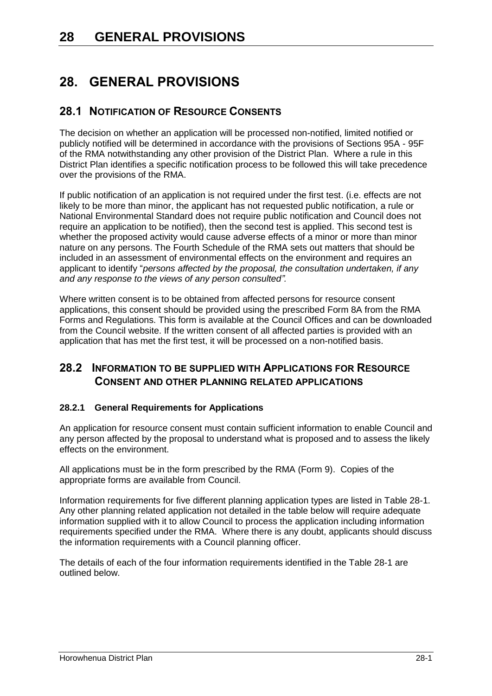## **28.1 NOTIFICATION OF RESOURCE CONSENTS**

The decision on whether an application will be processed non-notified, limited notified or publicly notified will be determined in accordance with the provisions of Sections 95A - 95F of the RMA notwithstanding any other provision of the District Plan. Where a rule in this District Plan identifies a specific notification process to be followed this will take precedence over the provisions of the RMA.

If public notification of an application is not required under the first test. (i.e. effects are not likely to be more than minor, the applicant has not requested public notification, a rule or National Environmental Standard does not require public notification and Council does not require an application to be notified), then the second test is applied. This second test is whether the proposed activity would cause adverse effects of a minor or more than minor nature on any persons. The Fourth Schedule of the RMA sets out matters that should be included in an assessment of environmental effects on the environment and requires an applicant to identify "*persons affected by the proposal, the consultation undertaken, if any and any response to the views of any person consulted".*

Where written consent is to be obtained from affected persons for resource consent applications, this consent should be provided using the prescribed Form 8A from the RMA Forms and Regulations. This form is available at the Council Offices and can be downloaded from the Council website. If the written consent of all affected parties is provided with an application that has met the first test, it will be processed on a non-notified basis.

## **28.2 INFORMATION TO BE SUPPLIED WITH APPLICATIONS FOR RESOURCE CONSENT AND OTHER PLANNING RELATED APPLICATIONS**

### **28.2.1 General Requirements for Applications**

An application for resource consent must contain sufficient information to enable Council and any person affected by the proposal to understand what is proposed and to assess the likely effects on the environment.

All applications must be in the form prescribed by the RMA (Form 9). Copies of the appropriate forms are available from Council.

Information requirements for five different planning application types are listed in Table 28-1. Any other planning related application not detailed in the table below will require adequate information supplied with it to allow Council to process the application including information requirements specified under the RMA. Where there is any doubt, applicants should discuss the information requirements with a Council planning officer.

The details of each of the four information requirements identified in the Table 28-1 are outlined below.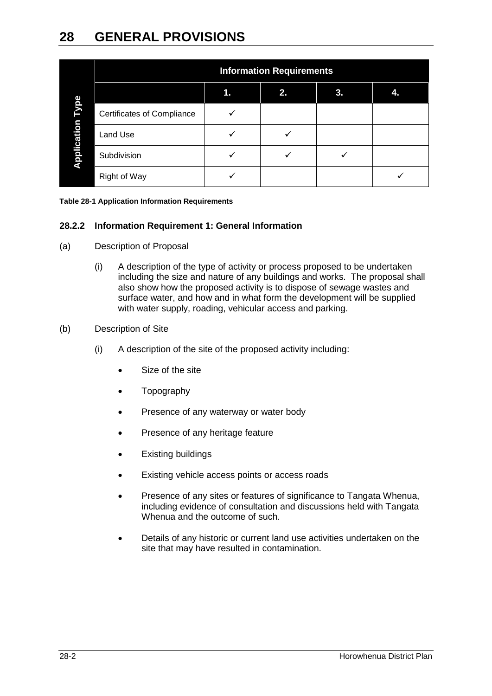|                         |                                                       | <b>Information Requirements</b>                                                                                                                                                                                                                                                                                                                                               |                                                 |                                                                                                                           |    |    |                          |  |
|-------------------------|-------------------------------------------------------|-------------------------------------------------------------------------------------------------------------------------------------------------------------------------------------------------------------------------------------------------------------------------------------------------------------------------------------------------------------------------------|-------------------------------------------------|---------------------------------------------------------------------------------------------------------------------------|----|----|--------------------------|--|
|                         |                                                       |                                                                                                                                                                                                                                                                                                                                                                               |                                                 | 1.                                                                                                                        | 2. | 3. | 4.                       |  |
| <b>Application Type</b> |                                                       |                                                                                                                                                                                                                                                                                                                                                                               | <b>Certificates of Compliance</b>               | ✓                                                                                                                         |    |    |                          |  |
|                         |                                                       | Land Use                                                                                                                                                                                                                                                                                                                                                                      |                                                 | ✓                                                                                                                         | ✓  |    |                          |  |
|                         |                                                       | Subdivision                                                                                                                                                                                                                                                                                                                                                                   |                                                 | ✓                                                                                                                         | ✓  | ✓  |                          |  |
|                         | <b>Right of Way</b>                                   |                                                                                                                                                                                                                                                                                                                                                                               |                                                 | ✓                                                                                                                         |    |    | ✓                        |  |
|                         |                                                       |                                                                                                                                                                                                                                                                                                                                                                               | Table 28-1 Application Information Requirements |                                                                                                                           |    |    |                          |  |
| 28.2.2                  | <b>Information Requirement 1: General Information</b> |                                                                                                                                                                                                                                                                                                                                                                               |                                                 |                                                                                                                           |    |    |                          |  |
| (a)                     | <b>Description of Proposal</b>                        |                                                                                                                                                                                                                                                                                                                                                                               |                                                 |                                                                                                                           |    |    |                          |  |
|                         | (i)                                                   | A description of the type of activity or process proposed to be undertaken<br>including the size and nature of any buildings and works. The proposal shall<br>also show how the proposed activity is to dispose of sewage wastes and<br>surface water, and how and in what form the development will be supplied<br>with water supply, roading, vehicular access and parking. |                                                 |                                                                                                                           |    |    |                          |  |
| (b)                     |                                                       | Description of Site                                                                                                                                                                                                                                                                                                                                                           |                                                 |                                                                                                                           |    |    |                          |  |
|                         | (i)                                                   | A description of the site of the proposed activity including:                                                                                                                                                                                                                                                                                                                 |                                                 |                                                                                                                           |    |    |                          |  |
|                         |                                                       |                                                                                                                                                                                                                                                                                                                                                                               | Size of the site                                |                                                                                                                           |    |    |                          |  |
|                         |                                                       |                                                                                                                                                                                                                                                                                                                                                                               | Topography                                      |                                                                                                                           |    |    |                          |  |
|                         | Presence of any waterway or water body                |                                                                                                                                                                                                                                                                                                                                                                               |                                                 |                                                                                                                           |    |    |                          |  |
|                         |                                                       |                                                                                                                                                                                                                                                                                                                                                                               | Presence of any heritage feature                |                                                                                                                           |    |    |                          |  |
|                         |                                                       |                                                                                                                                                                                                                                                                                                                                                                               | <b>Existing buildings</b>                       |                                                                                                                           |    |    |                          |  |
|                         |                                                       |                                                                                                                                                                                                                                                                                                                                                                               | Existing vehicle access points or access roads  |                                                                                                                           |    |    |                          |  |
|                         |                                                       | Presence of any sites or features of significance to Tangata Whenua,<br>including evidence of consultation and discussions held with Tangata<br>Whenua and the outcome of such.                                                                                                                                                                                               |                                                 |                                                                                                                           |    |    |                          |  |
|                         |                                                       |                                                                                                                                                                                                                                                                                                                                                                               |                                                 | Details of any historic or current land use activities undertaken on the<br>site that may have resulted in contamination. |    |    |                          |  |
|                         |                                                       |                                                                                                                                                                                                                                                                                                                                                                               |                                                 |                                                                                                                           |    |    |                          |  |
|                         |                                                       |                                                                                                                                                                                                                                                                                                                                                                               |                                                 |                                                                                                                           |    |    |                          |  |
| 28-2                    |                                                       |                                                                                                                                                                                                                                                                                                                                                                               |                                                 |                                                                                                                           |    |    | Horowhenua District Plan |  |

#### **Table 28-1 Application Information Requirements**

#### **28.2.2 Information Requirement 1: General Information**

- (a) Description of Proposal
	- (i) A description of the type of activity or process proposed to be undertaken including the size and nature of any buildings and works. The proposal shall also show how the proposed activity is to dispose of sewage wastes and surface water, and how and in what form the development will be supplied with water supply, roading, vehicular access and parking.

#### (b) Description of Site

- (i) A description of the site of the proposed activity including:
	- Size of the site
	- Topography
	- Presence of any waterway or water body
	- Presence of any heritage feature
	- Existing buildings
	- Existing vehicle access points or access roads
	- Presence of any sites or features of significance to Tangata Whenua, including evidence of consultation and discussions held with Tangata Whenua and the outcome of such.
	- Details of any historic or current land use activities undertaken on the site that may have resulted in contamination.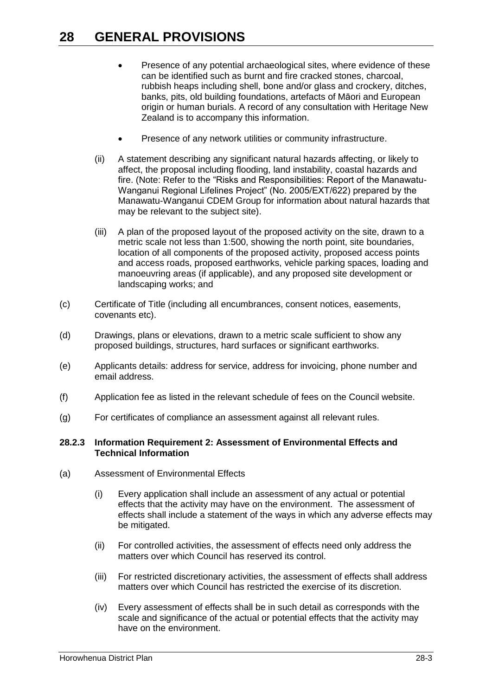- Presence of any potential archaeological sites, where evidence of these can be identified such as burnt and fire cracked stones, charcoal, rubbish heaps including shell, bone and/or glass and crockery, ditches, banks, pits, old building foundations, artefacts of Māori and European origin or human burials. A record of any consultation with Heritage New Zealand is to accompany this information.
- Presence of any network utilities or community infrastructure.
- (ii) A statement describing any significant natural hazards affecting, or likely to affect, the proposal including flooding, land instability, coastal hazards and fire. (Note: Refer to the "Risks and Responsibilities: Report of the Manawatu-Wanganui Regional Lifelines Project" (No. 2005/EXT/622) prepared by the Manawatu-Wanganui CDEM Group for information about natural hazards that may be relevant to the subject site).
- (iii) A plan of the proposed layout of the proposed activity on the site, drawn to a metric scale not less than 1:500, showing the north point, site boundaries, location of all components of the proposed activity, proposed access points and access roads, proposed earthworks, vehicle parking spaces, loading and manoeuvring areas (if applicable), and any proposed site development or landscaping works; and
- (c) Certificate of Title (including all encumbrances, consent notices, easements, covenants etc).
- (d) Drawings, plans or elevations, drawn to a metric scale sufficient to show any proposed buildings, structures, hard surfaces or significant earthworks.
- (e) Applicants details: address for service, address for invoicing, phone number and email address.
- (f) Application fee as listed in the relevant schedule of fees on the Council website.
- (g) For certificates of compliance an assessment against all relevant rules.

#### **28.2.3 Information Requirement 2: Assessment of Environmental Effects and Technical Information**

- (a) Assessment of Environmental Effects
	- (i) Every application shall include an assessment of any actual or potential effects that the activity may have on the environment. The assessment of effects shall include a statement of the ways in which any adverse effects may be mitigated.
	- (ii) For controlled activities, the assessment of effects need only address the matters over which Council has reserved its control.
	- (iii) For restricted discretionary activities, the assessment of effects shall address matters over which Council has restricted the exercise of its discretion.
	- (iv) Every assessment of effects shall be in such detail as corresponds with the scale and significance of the actual or potential effects that the activity may have on the environment.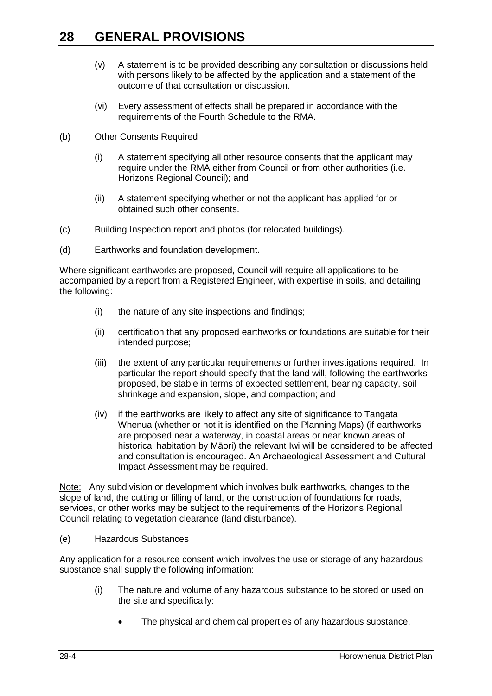- (v) A statement is to be provided describing any consultation or discussions held with persons likely to be affected by the application and a statement of the outcome of that consultation or discussion.
- (vi) Every assessment of effects shall be prepared in accordance with the requirements of the Fourth Schedule to the RMA.
- (b) Other Consents Required
	- (i) A statement specifying all other resource consents that the applicant may require under the RMA either from Council or from other authorities (i.e. Horizons Regional Council); and
	- (ii) A statement specifying whether or not the applicant has applied for or obtained such other consents.
- (c) Building Inspection report and photos (for relocated buildings).
- (d) Earthworks and foundation development.

Where significant earthworks are proposed, Council will require all applications to be accompanied by a report from a Registered Engineer, with expertise in soils, and detailing the following:

- (i) the nature of any site inspections and findings;
- (ii) certification that any proposed earthworks or foundations are suitable for their intended purpose;
- (iii) the extent of any particular requirements or further investigations required. In particular the report should specify that the land will, following the earthworks proposed, be stable in terms of expected settlement, bearing capacity, soil shrinkage and expansion, slope, and compaction; and
- (iv) if the earthworks are likely to affect any site of significance to Tangata Whenua (whether or not it is identified on the Planning Maps) (if earthworks are proposed near a waterway, in coastal areas or near known areas of historical habitation by Māori) the relevant Iwi will be considered to be affected and consultation is encouraged. An Archaeological Assessment and Cultural Impact Assessment may be required.

Note: Any subdivision or development which involves bulk earthworks, changes to the slope of land, the cutting or filling of land, or the construction of foundations for roads, services, or other works may be subject to the requirements of the Horizons Regional Council relating to vegetation clearance (land disturbance).

(e) Hazardous Substances

Any application for a resource consent which involves the use or storage of any hazardous substance shall supply the following information:

- (i) The nature and volume of any hazardous substance to be stored or used on the site and specifically:
	- The physical and chemical properties of any hazardous substance.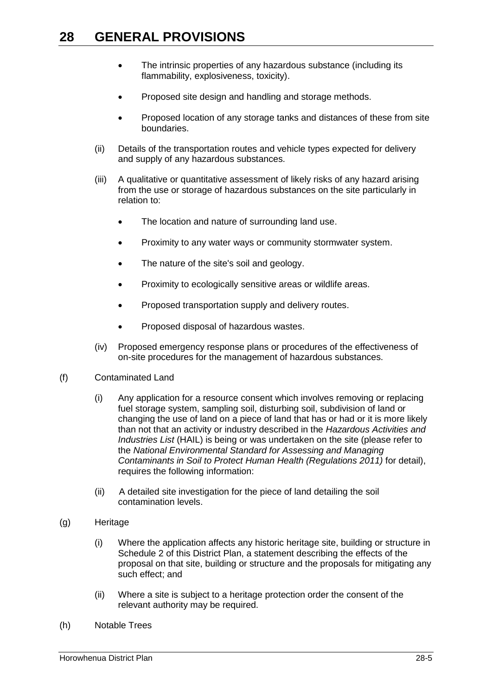- The intrinsic properties of any hazardous substance (including its flammability, explosiveness, toxicity).
- Proposed site design and handling and storage methods.
- Proposed location of any storage tanks and distances of these from site boundaries.
- (ii) Details of the transportation routes and vehicle types expected for delivery and supply of any hazardous substances.
- (iii) A qualitative or quantitative assessment of likely risks of any hazard arising from the use or storage of hazardous substances on the site particularly in relation to:
	- The location and nature of surrounding land use.
	- Proximity to any water ways or community stormwater system.
	- The nature of the site's soil and geology.
	- Proximity to ecologically sensitive areas or wildlife areas.
	- Proposed transportation supply and delivery routes.
	- Proposed disposal of hazardous wastes.
- (iv) Proposed emergency response plans or procedures of the effectiveness of on-site procedures for the management of hazardous substances.
- (f) Contaminated Land
	- (i) Any application for a resource consent which involves removing or replacing fuel storage system, sampling soil, disturbing soil, subdivision of land or changing the use of land on a piece of land that has or had or it is more likely than not that an activity or industry described in the *Hazardous Activities and Industries List* (HAIL) is being or was undertaken on the site (please refer to the *National Environmental Standard for Assessing and Managing Contaminants in Soil to Protect Human Health (Regulations 2011)* for detail), requires the following information:
	- (ii) A detailed site investigation for the piece of land detailing the soil contamination levels.
- (g) Heritage
	- (i) Where the application affects any historic heritage site, building or structure in Schedule 2 of this District Plan, a statement describing the effects of the proposal on that site, building or structure and the proposals for mitigating any such effect; and
	- (ii) Where a site is subject to a heritage protection order the consent of the relevant authority may be required.
- (h) Notable Trees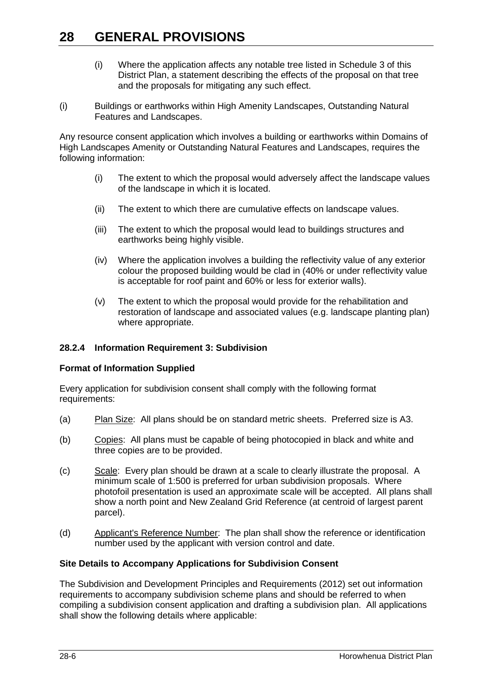- (i) Where the application affects any notable tree listed in Schedule 3 of this District Plan, a statement describing the effects of the proposal on that tree and the proposals for mitigating any such effect.
- (i) Buildings or earthworks within High Amenity Landscapes, Outstanding Natural Features and Landscapes.

Any resource consent application which involves a building or earthworks within Domains of High Landscapes Amenity or Outstanding Natural Features and Landscapes, requires the following information:

- (i) The extent to which the proposal would adversely affect the landscape values of the landscape in which it is located.
- (ii) The extent to which there are cumulative effects on landscape values.
- (iii) The extent to which the proposal would lead to buildings structures and earthworks being highly visible.
- (iv) Where the application involves a building the reflectivity value of any exterior colour the proposed building would be clad in (40% or under reflectivity value is acceptable for roof paint and 60% or less for exterior walls).
- (v) The extent to which the proposal would provide for the rehabilitation and restoration of landscape and associated values (e.g. landscape planting plan) where appropriate.

### **28.2.4 Information Requirement 3: Subdivision**

#### **Format of Information Supplied**

Every application for subdivision consent shall comply with the following format requirements:

- (a) Plan Size: All plans should be on standard metric sheets. Preferred size is A3.
- (b) Copies: All plans must be capable of being photocopied in black and white and three copies are to be provided.
- (c) Scale: Every plan should be drawn at a scale to clearly illustrate the proposal. A minimum scale of 1:500 is preferred for urban subdivision proposals. Where photofoil presentation is used an approximate scale will be accepted. All plans shall show a north point and New Zealand Grid Reference (at centroid of largest parent parcel).
- (d) Applicant's Reference Number: The plan shall show the reference or identification number used by the applicant with version control and date.

#### **Site Details to Accompany Applications for Subdivision Consent**

The Subdivision and Development Principles and Requirements (2012) set out information requirements to accompany subdivision scheme plans and should be referred to when compiling a subdivision consent application and drafting a subdivision plan. All applications shall show the following details where applicable: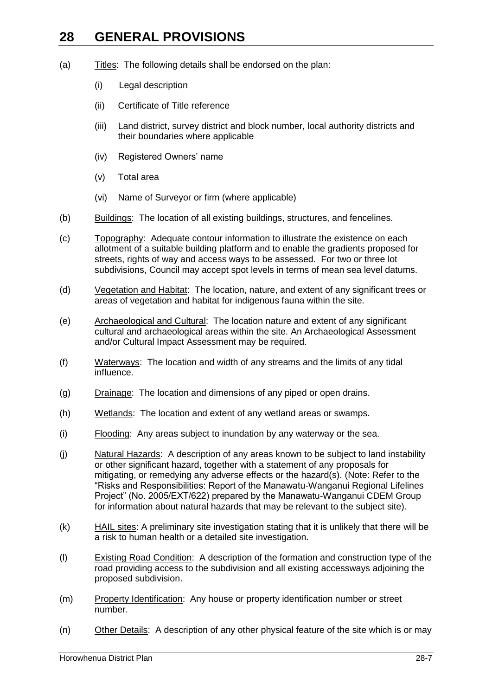- (a) Titles: The following details shall be endorsed on the plan:
	- (i) Legal description
	- (ii) Certificate of Title reference
	- (iii) Land district, survey district and block number, local authority districts and their boundaries where applicable
	- (iv) Registered Owners' name
	- (v) Total area
	- (vi) Name of Surveyor or firm (where applicable)
- (b) Buildings: The location of all existing buildings, structures, and fencelines.
- (c) Topography: Adequate contour information to illustrate the existence on each allotment of a suitable building platform and to enable the gradients proposed for streets, rights of way and access ways to be assessed. For two or three lot subdivisions, Council may accept spot levels in terms of mean sea level datums.
- (d) Vegetation and Habitat: The location, nature, and extent of any significant trees or areas of vegetation and habitat for indigenous fauna within the site.
- (e) Archaeological and Cultural: The location nature and extent of any significant cultural and archaeological areas within the site. An Archaeological Assessment and/or Cultural Impact Assessment may be required.
- (f) Waterways: The location and width of any streams and the limits of any tidal influence.
- (g) Drainage: The location and dimensions of any piped or open drains.
- (h) Wetlands: The location and extent of any wetland areas or swamps.
- (i) Flooding: Any areas subject to inundation by any waterway or the sea.
- (j) Natural Hazards: A description of any areas known to be subject to land instability or other significant hazard, together with a statement of any proposals for mitigating, or remedying any adverse effects or the hazard(s). (Note: Refer to the "Risks and Responsibilities: Report of the Manawatu-Wanganui Regional Lifelines Project" (No. 2005/EXT/622) prepared by the Manawatu-Wanganui CDEM Group for information about natural hazards that may be relevant to the subject site).
- (k) HAIL sites: A preliminary site investigation stating that it is unlikely that there will be a risk to human health or a detailed site investigation.
- (l) Existing Road Condition: A description of the formation and construction type of the road providing access to the subdivision and all existing accessways adjoining the proposed subdivision.
- (m) Property Identification: Any house or property identification number or street number.
- (n) Other Details: A description of any other physical feature of the site which is or may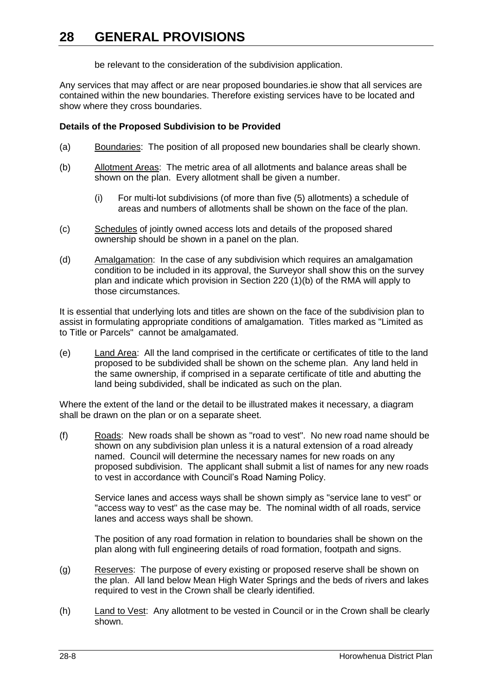be relevant to the consideration of the subdivision application.

Any services that may affect or are near proposed boundaries.ie show that all services are contained within the new boundaries. Therefore existing services have to be located and show where they cross boundaries.

### **Details of the Proposed Subdivision to be Provided**

- (a) Boundaries: The position of all proposed new boundaries shall be clearly shown.
- (b) Allotment Areas: The metric area of all allotments and balance areas shall be shown on the plan. Every allotment shall be given a number.
	- (i) For multi-lot subdivisions (of more than five (5) allotments) a schedule of areas and numbers of allotments shall be shown on the face of the plan.
- (c) Schedules of jointly owned access lots and details of the proposed shared ownership should be shown in a panel on the plan.
- (d) Amalgamation: In the case of any subdivision which requires an amalgamation condition to be included in its approval, the Surveyor shall show this on the survey plan and indicate which provision in Section 220 (1)(b) of the RMA will apply to those circumstances.

It is essential that underlying lots and titles are shown on the face of the subdivision plan to assist in formulating appropriate conditions of amalgamation. Titles marked as "Limited as to Title or Parcels" cannot be amalgamated.

(e) Land Area: All the land comprised in the certificate or certificates of title to the land proposed to be subdivided shall be shown on the scheme plan. Any land held in the same ownership, if comprised in a separate certificate of title and abutting the land being subdivided, shall be indicated as such on the plan.

Where the extent of the land or the detail to be illustrated makes it necessary, a diagram shall be drawn on the plan or on a separate sheet.

(f) Roads: New roads shall be shown as "road to vest". No new road name should be shown on any subdivision plan unless it is a natural extension of a road already named. Council will determine the necessary names for new roads on any proposed subdivision. The applicant shall submit a list of names for any new roads to vest in accordance with Council's Road Naming Policy.

Service lanes and access ways shall be shown simply as "service lane to vest" or "access way to vest" as the case may be. The nominal width of all roads, service lanes and access ways shall be shown.

The position of any road formation in relation to boundaries shall be shown on the plan along with full engineering details of road formation, footpath and signs.

- (g) Reserves: The purpose of every existing or proposed reserve shall be shown on the plan. All land below Mean High Water Springs and the beds of rivers and lakes required to vest in the Crown shall be clearly identified.
- (h) Land to Vest: Any allotment to be vested in Council or in the Crown shall be clearly shown.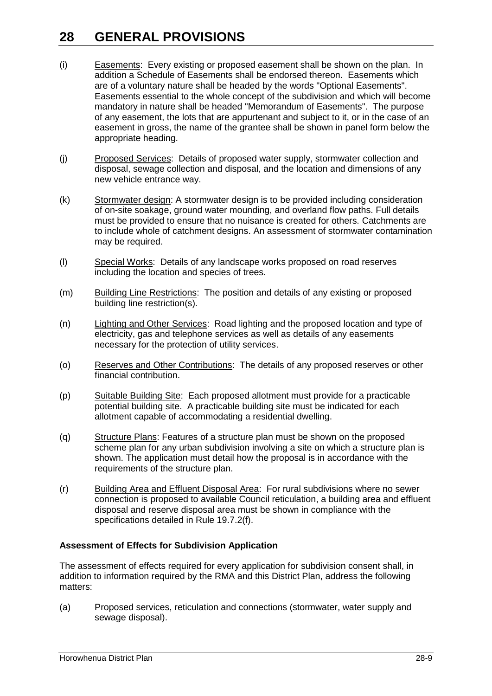- (i) Easements: Every existing or proposed easement shall be shown on the plan. In addition a Schedule of Easements shall be endorsed thereon. Easements which are of a voluntary nature shall be headed by the words "Optional Easements". Easements essential to the whole concept of the subdivision and which will become mandatory in nature shall be headed "Memorandum of Easements". The purpose of any easement, the lots that are appurtenant and subject to it, or in the case of an easement in gross, the name of the grantee shall be shown in panel form below the appropriate heading.
- (j) Proposed Services: Details of proposed water supply, stormwater collection and disposal, sewage collection and disposal, and the location and dimensions of any new vehicle entrance way.
- (k) Stormwater design: A stormwater design is to be provided including consideration of on-site soakage, ground water mounding, and overland flow paths. Full details must be provided to ensure that no nuisance is created for others. Catchments are to include whole of catchment designs. An assessment of stormwater contamination may be required.
- (l) Special Works: Details of any landscape works proposed on road reserves including the location and species of trees.
- (m) Building Line Restrictions: The position and details of any existing or proposed building line restriction(s).
- (n) Lighting and Other Services: Road lighting and the proposed location and type of electricity, gas and telephone services as well as details of any easements necessary for the protection of utility services.
- (o) Reserves and Other Contributions: The details of any proposed reserves or other financial contribution.
- (p) Suitable Building Site: Each proposed allotment must provide for a practicable potential building site. A practicable building site must be indicated for each allotment capable of accommodating a residential dwelling.
- (q) Structure Plans: Features of a structure plan must be shown on the proposed scheme plan for any urban subdivision involving a site on which a structure plan is shown. The application must detail how the proposal is in accordance with the requirements of the structure plan.
- (r) Building Area and Effluent Disposal Area: For rural subdivisions where no sewer connection is proposed to available Council reticulation, a building area and effluent disposal and reserve disposal area must be shown in compliance with the specifications detailed in Rule 19.7.2(f).

#### **Assessment of Effects for Subdivision Application**

The assessment of effects required for every application for subdivision consent shall, in addition to information required by the RMA and this District Plan, address the following matters:

(a) Proposed services, reticulation and connections (stormwater, water supply and sewage disposal).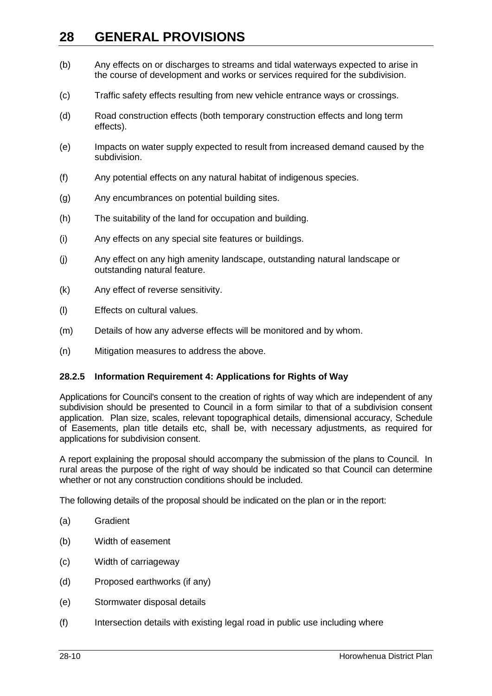- (b) Any effects on or discharges to streams and tidal waterways expected to arise in the course of development and works or services required for the subdivision.
- (c) Traffic safety effects resulting from new vehicle entrance ways or crossings.
- (d) Road construction effects (both temporary construction effects and long term effects).
- (e) Impacts on water supply expected to result from increased demand caused by the subdivision.
- (f) Any potential effects on any natural habitat of indigenous species.
- (g) Any encumbrances on potential building sites.
- (h) The suitability of the land for occupation and building.
- (i) Any effects on any special site features or buildings.
- (j) Any effect on any high amenity landscape, outstanding natural landscape or outstanding natural feature.
- (k) Any effect of reverse sensitivity.
- (l) Effects on cultural values.
- (m) Details of how any adverse effects will be monitored and by whom.
- (n) Mitigation measures to address the above.

#### **28.2.5 Information Requirement 4: Applications for Rights of Way**

Applications for Council's consent to the creation of rights of way which are independent of any subdivision should be presented to Council in a form similar to that of a subdivision consent application. Plan size, scales, relevant topographical details, dimensional accuracy, Schedule of Easements, plan title details etc, shall be, with necessary adjustments, as required for applications for subdivision consent.

A report explaining the proposal should accompany the submission of the plans to Council. In rural areas the purpose of the right of way should be indicated so that Council can determine whether or not any construction conditions should be included.

The following details of the proposal should be indicated on the plan or in the report:

- (a) Gradient
- (b) Width of easement
- (c) Width of carriageway
- (d) Proposed earthworks (if any)
- (e) Stormwater disposal details
- (f) Intersection details with existing legal road in public use including where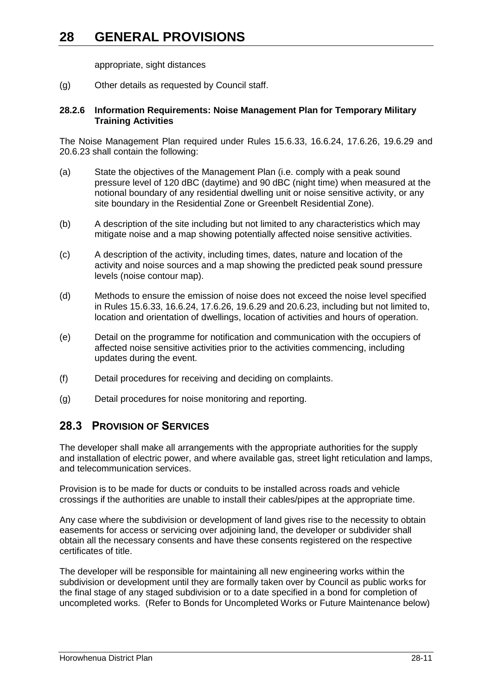appropriate, sight distances

(g) Other details as requested by Council staff.

#### **28.2.6 Information Requirements: Noise Management Plan for Temporary Military Training Activities**

The Noise Management Plan required under Rules 15.6.33, 16.6.24, 17.6.26, 19.6.29 and 20.6.23 shall contain the following:

- (a) State the objectives of the Management Plan (i.e. comply with a peak sound pressure level of 120 dBC (daytime) and 90 dBC (night time) when measured at the notional boundary of any residential dwelling unit or noise sensitive activity, or any site boundary in the Residential Zone or Greenbelt Residential Zone).
- (b) A description of the site including but not limited to any characteristics which may mitigate noise and a map showing potentially affected noise sensitive activities.
- (c) A description of the activity, including times, dates, nature and location of the activity and noise sources and a map showing the predicted peak sound pressure levels (noise contour map).
- (d) Methods to ensure the emission of noise does not exceed the noise level specified in Rules 15.6.33, 16.6.24, 17.6.26, 19.6.29 and 20.6.23, including but not limited to, location and orientation of dwellings, location of activities and hours of operation.
- (e) Detail on the programme for notification and communication with the occupiers of affected noise sensitive activities prior to the activities commencing, including updates during the event.
- (f) Detail procedures for receiving and deciding on complaints.
- (g) Detail procedures for noise monitoring and reporting.

## **28.3 PROVISION OF SERVICES**

The developer shall make all arrangements with the appropriate authorities for the supply and installation of electric power, and where available gas, street light reticulation and lamps, and telecommunication services.

Provision is to be made for ducts or conduits to be installed across roads and vehicle crossings if the authorities are unable to install their cables/pipes at the appropriate time.

Any case where the subdivision or development of land gives rise to the necessity to obtain easements for access or servicing over adjoining land, the developer or subdivider shall obtain all the necessary consents and have these consents registered on the respective certificates of title.

The developer will be responsible for maintaining all new engineering works within the subdivision or development until they are formally taken over by Council as public works for the final stage of any staged subdivision or to a date specified in a bond for completion of uncompleted works. (Refer to Bonds for Uncompleted Works or Future Maintenance below)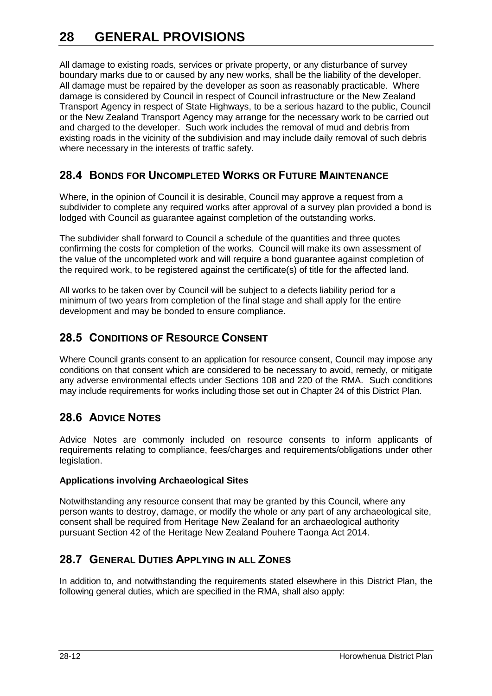All damage to existing roads, services or private property, or any disturbance of survey boundary marks due to or caused by any new works, shall be the liability of the developer. All damage must be repaired by the developer as soon as reasonably practicable. Where damage is considered by Council in respect of Council infrastructure or the New Zealand Transport Agency in respect of State Highways, to be a serious hazard to the public, Council or the New Zealand Transport Agency may arrange for the necessary work to be carried out and charged to the developer. Such work includes the removal of mud and debris from existing roads in the vicinity of the subdivision and may include daily removal of such debris where necessary in the interests of traffic safety.

## **28.4 BONDS FOR UNCOMPLETED WORKS OR FUTURE MAINTENANCE**

Where, in the opinion of Council it is desirable, Council may approve a request from a subdivider to complete any required works after approval of a survey plan provided a bond is lodged with Council as guarantee against completion of the outstanding works.

The subdivider shall forward to Council a schedule of the quantities and three quotes confirming the costs for completion of the works. Council will make its own assessment of the value of the uncompleted work and will require a bond guarantee against completion of the required work, to be registered against the certificate(s) of title for the affected land.

All works to be taken over by Council will be subject to a defects liability period for a minimum of two years from completion of the final stage and shall apply for the entire development and may be bonded to ensure compliance.

# **28.5 CONDITIONS OF RESOURCE CONSENT**

Where Council grants consent to an application for resource consent, Council may impose any conditions on that consent which are considered to be necessary to avoid, remedy, or mitigate any adverse environmental effects under Sections 108 and 220 of the RMA. Such conditions may include requirements for works including those set out in Chapter 24 of this District Plan.

# **28.6 ADVICE NOTES**

Advice Notes are commonly included on resource consents to inform applicants of requirements relating to compliance, fees/charges and requirements/obligations under other legislation.

### **Applications involving Archaeological Sites**

Notwithstanding any resource consent that may be granted by this Council, where any person wants to destroy, damage, or modify the whole or any part of any archaeological site, consent shall be required from Heritage New Zealand for an archaeological authority pursuant Section 42 of the Heritage New Zealand Pouhere Taonga Act 2014.

## **28.7 GENERAL DUTIES APPLYING IN ALL ZONES**

In addition to, and notwithstanding the requirements stated elsewhere in this District Plan, the following general duties, which are specified in the RMA, shall also apply: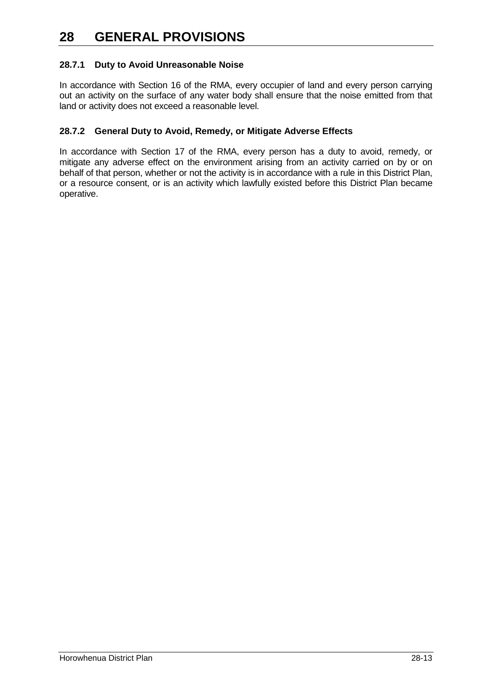### **28.7.1 Duty to Avoid Unreasonable Noise**

In accordance with Section 16 of the RMA, every occupier of land and every person carrying out an activity on the surface of any water body shall ensure that the noise emitted from that land or activity does not exceed a reasonable level.

### **28.7.2 General Duty to Avoid, Remedy, or Mitigate Adverse Effects**

In accordance with Section 17 of the RMA, every person has a duty to avoid, remedy, or mitigate any adverse effect on the environment arising from an activity carried on by or on behalf of that person, whether or not the activity is in accordance with a rule in this District Plan, or a resource consent, or is an activity which lawfully existed before this District Plan became operative.